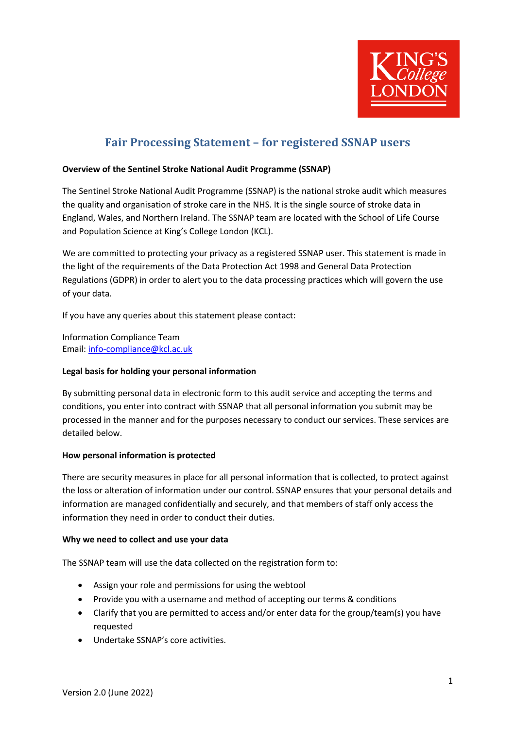

# **Fair Processing Statement - for registered SSNAP users**

## **Overview of the Sentinel Stroke National Audit Programme (SSNAP)**

The Sentinel Stroke National Audit Programme (SSNAP) is the national stroke audit which measures the quality and organisation of stroke care in the NHS. It is the single source of stroke data in England, Wales, and Northern Ireland. The SSNAP team are located with the School of Life Course and Population Science at King's College London (KCL).

We are committed to protecting your privacy as a registered SSNAP user. This statement is made in the light of the requirements of the Data Protection Act 1998 and General Data Protection Regulations (GDPR) in order to alert you to the data processing practices which will govern the use of your data.

If you have any queries about this statement please contact:

Information Compliance Team Email: info-compliance@kcl.ac.uk

## **Legal basis for holding your personal information**

By submitting personal data in electronic form to this audit service and accepting the terms and conditions, you enter into contract with SSNAP that all personal information you submit may be processed in the manner and for the purposes necessary to conduct our services. These services are detailed below.

## **How personal information is protected**

There are security measures in place for all personal information that is collected, to protect against the loss or alteration of information under our control. SSNAP ensures that your personal details and information are managed confidentially and securely, and that members of staff only access the information they need in order to conduct their duties.

## **Why we need to collect and use your data**

The SSNAP team will use the data collected on the registration form to:

- Assign your role and permissions for using the webtool
- Provide you with a username and method of accepting our terms & conditions
- Clarify that you are permitted to access and/or enter data for the group/team(s) you have requested
- Undertake SSNAP's core activities.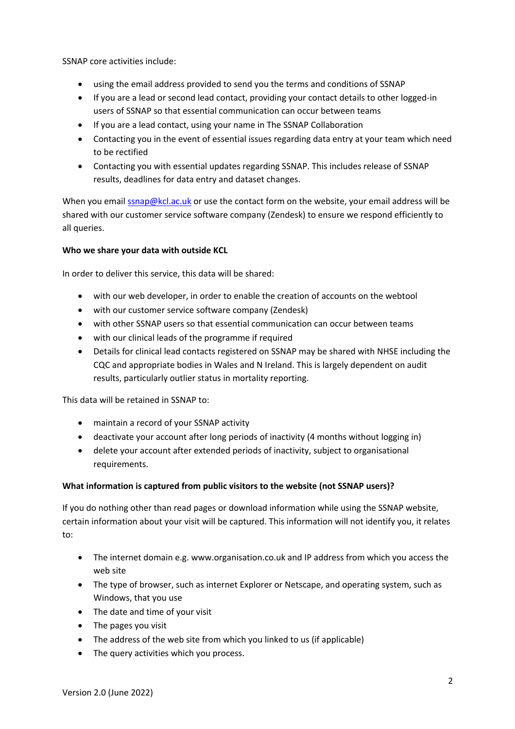SSNAP core activities include:

- using the email address provided to send you the terms and conditions of SSNAP
- If you are a lead or second lead contact, providing your contact details to other logged-in users of SSNAP so that essential communication can occur between teams
- If you are a lead contact, using your name in The SSNAP Collaboration
- Contacting you in the event of essential issues regarding data entry at your team which need to be rectified
- Contacting you with essential updates regarding SSNAP. This includes release of SSNAP results, deadlines for data entry and dataset changes.

When you email ssnap@kcl.ac.uk or use the contact form on the website, your email address will be shared with our customer service software company (Zendesk) to ensure we respond efficiently to all queries.

# **Who we share your data with outside KCL**

In order to deliver this service, this data will be shared:

- with our web developer, in order to enable the creation of accounts on the webtool
- with our customer service software company (Zendesk)
- with other SSNAP users so that essential communication can occur between teams
- with our clinical leads of the programme if required
- Details for clinical lead contacts registered on SSNAP may be shared with NHSE including the CQC and appropriate bodies in Wales and N Ireland. This is largely dependent on audit results, particularly outlier status in mortality reporting.

This data will be retained in SSNAP to:

- maintain a record of your SSNAP activity
- deactivate your account after long periods of inactivity (4 months without logging in)
- delete your account after extended periods of inactivity, subject to organisational requirements.

# **What information is captured from public visitors to the website (not SSNAP users)?**

If you do nothing other than read pages or download information while using the SSNAP website, certain information about your visit will be captured. This information will not identify you, it relates to:

- The internet domain e.g. www.organisation.co.uk and IP address from which you access the web site
- The type of browser, such as internet Explorer or Netscape, and operating system, such as Windows, that you use
- The date and time of your visit
- The pages you visit
- The address of the web site from which you linked to us (if applicable)
- The query activities which you process.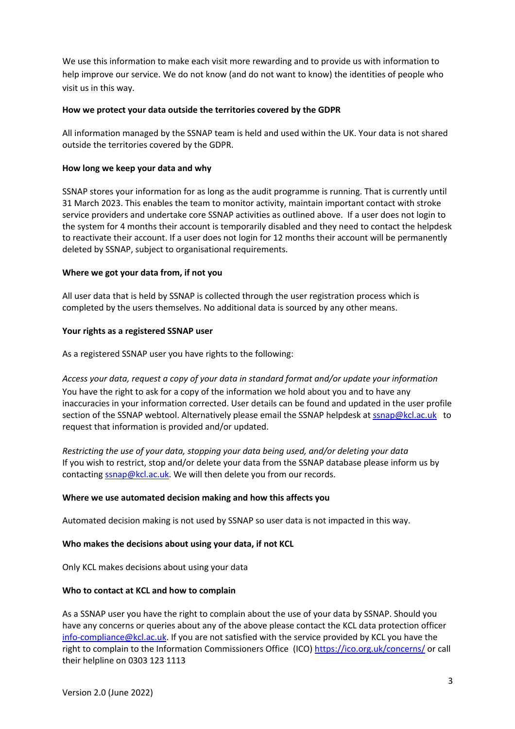We use this information to make each visit more rewarding and to provide us with information to help improve our service. We do not know (and do not want to know) the identities of people who visit us in this way.

## **How we protect your data outside the territories covered by the GDPR**

All information managed by the SSNAP team is held and used within the UK. Your data is not shared outside the territories covered by the GDPR.

## **How long we keep your data and why**

SSNAP stores your information for as long as the audit programme is running. That is currently until 31 March 2023. This enables the team to monitor activity, maintain important contact with stroke service providers and undertake core SSNAP activities as outlined above. If a user does not login to the system for 4 months their account is temporarily disabled and they need to contact the helpdesk to reactivate their account. If a user does not login for 12 months their account will be permanently deleted by SSNAP, subject to organisational requirements.

## **Where we got your data from, if not you**

All user data that is held by SSNAP is collected through the user registration process which is completed by the users themselves. No additional data is sourced by any other means.

## **Your rights as a registered SSNAP user**

As a registered SSNAP user you have rights to the following:

*Access your data, request a copy of your data in standard format and/or update your information* You have the right to ask for a copy of the information we hold about you and to have any inaccuracies in your information corrected. User details can be found and updated in the user profile section of the SSNAP webtool. Alternatively please email the SSNAP helpdesk at ssnap@kcl.ac.uk to request that information is provided and/or updated.

*Restricting the use of your data, stopping your data being used, and/or deleting your data* If you wish to restrict, stop and/or delete your data from the SSNAP database please inform us by contacting **ssnap@kcl.ac.uk**. We will then delete you from our records.

## **Where we use automated decision making and how this affects you**

Automated decision making is not used by SSNAP so user data is not impacted in this way.

## **Who makes the decisions about using your data, if not KCL**

Only KCL makes decisions about using your data

## **Who to contact at KCL and how to complain**

As a SSNAP user you have the right to complain about the use of your data by SSNAP. Should you have any concerns or queries about any of the above please contact the KCL data protection officer info-compliance@kcl.ac.uk. If you are not satisfied with the service provided by KCL you have the right to complain to the Information Commissioners Office (ICO) https://ico.org.uk/concerns/ or call their helpline on 0303 123 1113